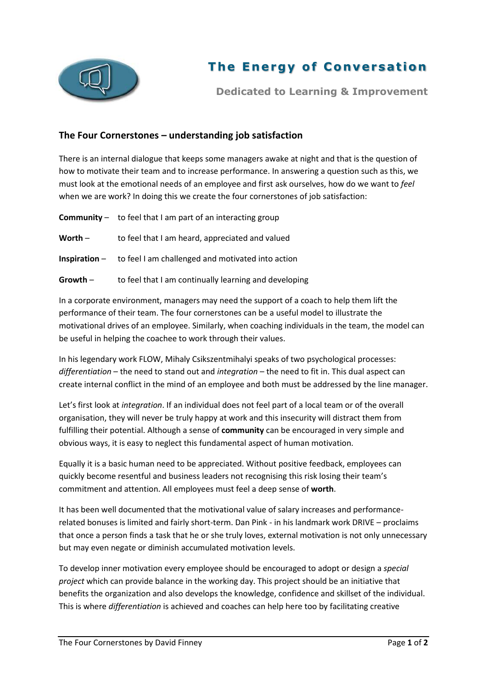

## **The Energy of Conversation**

**Dedicated to Learning & Improvement**

## **The Four Cornerstones – understanding job satisfaction**

There is an internal dialogue that keeps some managers awake at night and that is the question of how to motivate their team and to increase performance. In answering a question such as this, we must look at the emotional needs of an employee and first ask ourselves, how do we want to *feel* when we are work? In doing this we create the four cornerstones of job satisfaction:

**Community** – to feel that I am part of an interacting group Worth – to feel that I am heard, appreciated and valued **Inspiration** – to feel I am challenged and motivated into action **Growth** – to feel that I am continually learning and developing

In a corporate environment, managers may need the support of a coach to help them lift the performance of their team. The four cornerstones can be a useful model to illustrate the motivational drives of an employee. Similarly, when coaching individuals in the team, the model can be useful in helping the coachee to work through their values.

In his legendary work FLOW, Mihaly Csikszentmihalyi speaks of two psychological processes: *differentiation* – the need to stand out and *integration* – the need to fit in. This dual aspect can create internal conflict in the mind of an employee and both must be addressed by the line manager.

Let's first look at *integration*. If an individual does not feel part of a local team or of the overall organisation, they will never be truly happy at work and this insecurity will distract them from fulfilling their potential. Although a sense of **community** can be encouraged in very simple and obvious ways, it is easy to neglect this fundamental aspect of human motivation.

Equally it is a basic human need to be appreciated. Without positive feedback, employees can quickly become resentful and business leaders not recognising this risk losing their team's commitment and attention. All employees must feel a deep sense of **worth**.

It has been well documented that the motivational value of salary increases and performancerelated bonuses is limited and fairly short-term. Dan Pink - in his landmark work DRIVE – proclaims that once a person finds a task that he or she truly loves, external motivation is not only unnecessary but may even negate or diminish accumulated motivation levels.

To develop inner motivation every employee should be encouraged to adopt or design a *special project* which can provide balance in the working day. This project should be an initiative that benefits the organization and also develops the knowledge, confidence and skillset of the individual. This is where *differentiation* is achieved and coaches can help here too by facilitating creative